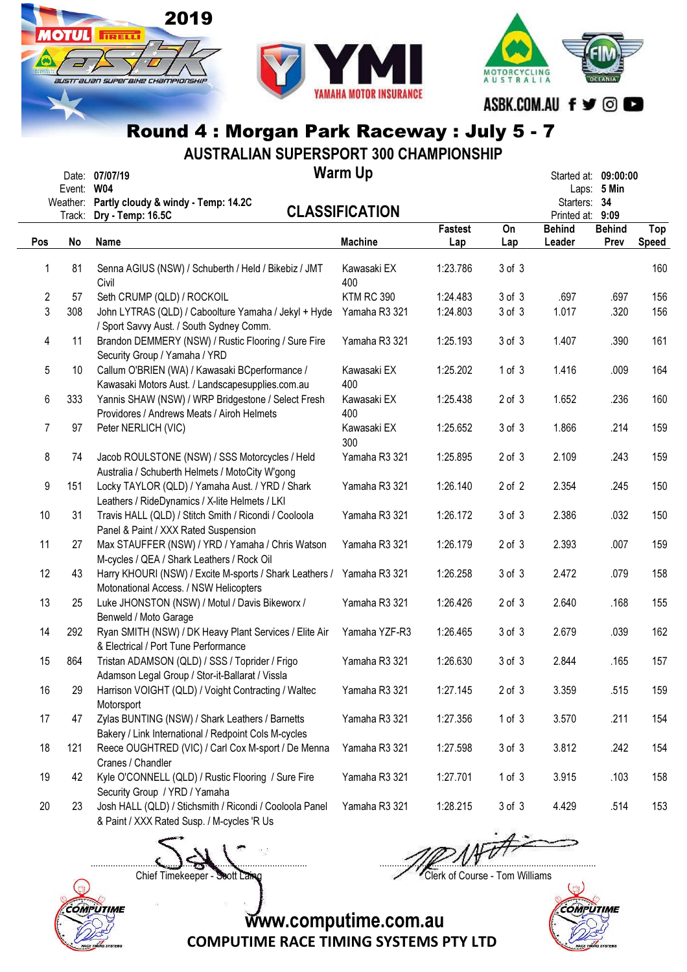



AUSTRALIAN SUPERSPORT 300 CHAMPIONSHIP

|                         | Event: W04         | <b>Warm Up</b><br>Date: 07/07/19                                                                        | Started at: 09:00:00  | Laps: $5$ Min  |            |                                  |                       |                     |
|-------------------------|--------------------|---------------------------------------------------------------------------------------------------------|-----------------------|----------------|------------|----------------------------------|-----------------------|---------------------|
|                         | Weather:<br>Track: | Partly cloudy & windy - Temp: 14.2C<br>Dry - Temp: 16.5C                                                | <b>CLASSIFICATION</b> |                |            | Starters: 34<br>Printed at: 9:09 |                       |                     |
| Pos                     | No                 | Name                                                                                                    | <b>Machine</b>        | Fastest<br>Lap | On<br>Lap  | <b>Behind</b><br>Leader          | <b>Behind</b><br>Prev | Top<br><b>Speed</b> |
| 1                       | 81                 | Senna AGIUS (NSW) / Schuberth / Held / Bikebiz / JMT<br>Civil                                           | Kawasaki EX<br>400    | 1:23.786       | 3 of 3     |                                  |                       | 160                 |
| $\overline{\mathbf{c}}$ | 57                 | Seth CRUMP (QLD) / ROCKOIL                                                                              | <b>KTM RC 390</b>     | 1:24.483       | 3 of 3     | .697                             | .697                  | 156                 |
| 3                       | 308                | John LYTRAS (QLD) / Caboolture Yamaha / Jekyl + Hyde<br>/ Sport Savvy Aust. / South Sydney Comm.        | Yamaha R3 321         | 1:24.803       | 3 of 3     | 1.017                            | .320                  | 156                 |
| 4                       | 11                 | Brandon DEMMERY (NSW) / Rustic Flooring / Sure Fire<br>Security Group / Yamaha / YRD                    | Yamaha R3 321         | 1:25.193       | 3 of 3     | 1.407                            | .390                  | 161                 |
| 5                       | 10                 | Callum O'BRIEN (WA) / Kawasaki BCperformance /<br>Kawasaki Motors Aust. / Landscapesupplies.com.au      | Kawasaki EX<br>400    | 1:25.202       | 1 of 3     | 1.416                            | .009                  | 164                 |
| 6                       | 333                | Yannis SHAW (NSW) / WRP Bridgestone / Select Fresh<br>Providores / Andrews Meats / Airoh Helmets        | Kawasaki EX<br>400    | 1:25.438       | $2$ of $3$ | 1.652                            | .236                  | 160                 |
| $\overline{7}$          | 97                 | Peter NERLICH (VIC)                                                                                     | Kawasaki EX<br>300    | 1:25.652       | 3 of 3     | 1.866                            | .214                  | 159                 |
| 8                       | 74                 | Jacob ROULSTONE (NSW) / SSS Motorcycles / Held<br>Australia / Schuberth Helmets / MotoCity W'gong       | Yamaha R3 321         | 1:25.895       | $2$ of $3$ | 2.109                            | .243                  | 159                 |
| 9                       | 151                | Locky TAYLOR (QLD) / Yamaha Aust. / YRD / Shark<br>Leathers / RideDynamics / X-lite Helmets / LKI       | Yamaha R3 321         | 1:26.140       | 2 of 2     | 2.354                            | .245                  | 150                 |
| 10                      | 31                 | Travis HALL (QLD) / Stitch Smith / Ricondi / Cooloola<br>Panel & Paint / XXX Rated Suspension           | Yamaha R3 321         | 1:26.172       | 3 of 3     | 2.386                            | .032                  | 150                 |
| 11                      | 27                 | Max STAUFFER (NSW) / YRD / Yamaha / Chris Watson<br>M-cycles / QEA / Shark Leathers / Rock Oil          | Yamaha R3 321         | 1:26.179       | $2$ of $3$ | 2.393                            | .007                  | 159                 |
| 12                      | 43                 | Harry KHOURI (NSW) / Excite M-sports / Shark Leathers /<br>Motonational Access. / NSW Helicopters       | Yamaha R3 321         | 1:26.258       | 3 of 3     | 2.472                            | .079                  | 158                 |
| 13                      | 25                 | Luke JHONSTON (NSW) / Motul / Davis Bikeworx /<br>Benweld / Moto Garage                                 | Yamaha R3 321         | 1:26.426       | $2$ of $3$ | 2.640                            | .168                  | 155                 |
| 14                      | 292                | Ryan SMITH (NSW) / DK Heavy Plant Services / Elite Air<br>& Electrical / Port Tune Performance          | Yamaha YZF-R3         | 1:26.465       | 3 of 3     | 2.679                            | .039                  | 162                 |
| 15                      | 864                | Tristan ADAMSON (QLD) / SSS / Toprider / Frigo<br>Adamson Legal Group / Stor-it-Ballarat / Vissla       | Yamaha R3 321         | 1:26.630       | 3 of 3     | 2.844                            | .165                  | 157                 |
| 16                      | 29                 | Harrison VOIGHT (QLD) / Voight Contracting / Waltec<br>Motorsport                                       | Yamaha R3 321         | 1:27.145       | $2$ of $3$ | 3.359                            | .515                  | 159                 |
| 17                      | 47                 | Zylas BUNTING (NSW) / Shark Leathers / Barnetts<br>Bakery / Link International / Redpoint Cols M-cycles | Yamaha R3 321         | 1:27.356       | 1 of 3     | 3.570                            | .211                  | 154                 |
| 18                      | 121                | Reece OUGHTRED (VIC) / Carl Cox M-sport / De Menna<br>Cranes / Chandler                                 | Yamaha R3 321         | 1:27.598       | 3 of 3     | 3.812                            | .242                  | 154                 |
| 19                      | 42                 | Kyle O'CONNELL (QLD) / Rustic Flooring / Sure Fire<br>Security Group / YRD / Yamaha                     | Yamaha R3 321         | 1:27.701       | 1 of 3     | 3.915                            | .103                  | 158                 |
| 20                      | 23                 | Josh HALL (QLD) / Stichsmith / Ricondi / Cooloola Panel<br>& Paint / XXX Rated Susp. / M-cycles 'R Us   | Yamaha R3 321         | 1:28.215       | 3 of 3     | 4.429                            | .514                  | 153                 |

Chief Timekeeper - Soott Laing Chief Timekeeper - Soott Laing

COMPUTIME

 $\Box$ 

COMPUTIME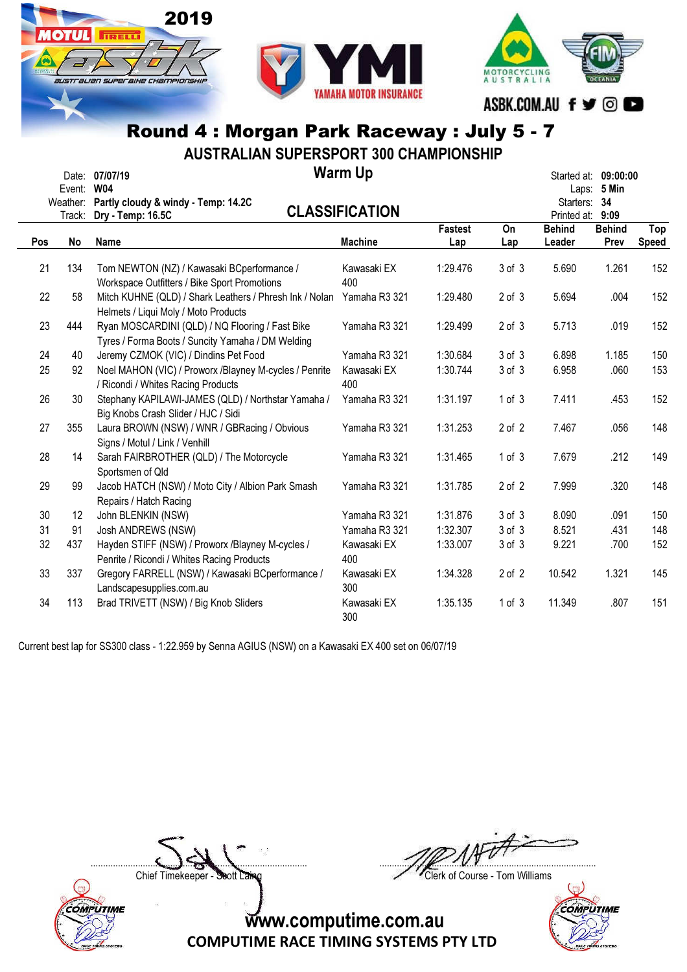

778



## Round 4 : Morgan Park Raceway : July 5 - 7

AUSTRALIAN SUPERSPORT 300 CHAMPIONSHIP

|     | Event:<br>Weather: | Date: 07/07/19<br><b>W04</b><br>Partly cloudy & windy - Temp: 14.2C                                           | <b>Warm Up</b>        |                |            | Laps:<br>Starters: 34   | Started at: 09:00:00<br>5 Min |              |
|-----|--------------------|---------------------------------------------------------------------------------------------------------------|-----------------------|----------------|------------|-------------------------|-------------------------------|--------------|
|     | Track:             | Dry - Temp: 16.5C                                                                                             | <b>CLASSIFICATION</b> |                |            | Printed at: 9:09        |                               |              |
| Pos | No                 | Name                                                                                                          | <b>Machine</b>        | Fastest<br>Lap | On<br>Lap  | <b>Behind</b><br>Leader | <b>Behind</b><br>Prev         | Top<br>Speed |
| 21  | 134                | Tom NEWTON (NZ) / Kawasaki BCperformance /<br>Workspace Outfitters / Bike Sport Promotions                    | Kawasaki EX<br>400    | 1:29.476       | 3 of 3     | 5.690                   | 1.261                         | 152          |
| 22  | 58                 | Mitch KUHNE (QLD) / Shark Leathers / Phresh Ink / Nolan Yamaha R3 321<br>Helmets / Liqui Moly / Moto Products |                       | 1:29.480       | $2$ of $3$ | 5.694                   | .004                          | 152          |
| 23  | 444                | Ryan MOSCARDINI (QLD) / NQ Flooring / Fast Bike<br>Tyres / Forma Boots / Suncity Yamaha / DM Welding          | Yamaha R3 321         | 1:29.499       | $2$ of $3$ | 5.713                   | .019                          | 152          |
| 24  | 40                 | Jeremy CZMOK (VIC) / Dindins Pet Food                                                                         | Yamaha R3 321         | 1:30.684       | 3 of 3     | 6.898                   | 1.185                         | 150          |
| 25  | 92                 | Noel MAHON (VIC) / Proworx /Blayney M-cycles / Penrite<br>/ Ricondi / Whites Racing Products                  | Kawasaki EX<br>400    | 1:30.744       | 3 of 3     | 6.958                   | .060                          | 153          |
| 26  | 30                 | Stephany KAPILAWI-JAMES (QLD) / Northstar Yamaha /<br>Big Knobs Crash Slider / HJC / Sidi                     | Yamaha R3 321         | 1:31.197       | 1 of 3     | 7.411                   | .453                          | 152          |
| 27  | 355                | Laura BROWN (NSW) / WNR / GBRacing / Obvious<br>Signs / Motul / Link / Venhill                                | Yamaha R3 321         | 1:31.253       | $2$ of $2$ | 7.467                   | .056                          | 148          |
| 28  | 14                 | Sarah FAIRBROTHER (QLD) / The Motorcycle<br>Sportsmen of Qld                                                  | Yamaha R3 321         | 1:31.465       | 1 of 3     | 7.679                   | .212                          | 149          |
| 29  | 99                 | Jacob HATCH (NSW) / Moto City / Albion Park Smash<br>Repairs / Hatch Racing                                   | Yamaha R3 321         | 1:31.785       | $2$ of $2$ | 7.999                   | .320                          | 148          |
| 30  | 12                 | John BLENKIN (NSW)                                                                                            | Yamaha R3 321         | 1:31.876       | 3 of 3     | 8.090                   | .091                          | 150          |
| 31  | 91                 | Josh ANDREWS (NSW)                                                                                            | Yamaha R3 321         | 1:32.307       | $3$ of $3$ | 8.521                   | .431                          | 148          |
| 32  | 437                | Hayden STIFF (NSW) / Proworx /Blayney M-cycles /<br>Penrite / Ricondi / Whites Racing Products                | Kawasaki EX<br>400    | 1:33.007       | 3 of 3     | 9.221                   | .700                          | 152          |
| 33  | 337                | Gregory FARRELL (NSW) / Kawasaki BCperformance /<br>Landscapesupplies.com.au                                  | Kawasaki EX<br>300    | 1:34.328       | $2$ of $2$ | 10.542                  | 1.321                         | 145          |
| 34  | 113                | Brad TRIVETT (NSW) / Big Knob Sliders                                                                         | Kawasaki EX<br>300    | 1:35.135       | 1 of 3     | 11.349                  | .807                          | 151          |

Current best lap for SS300 class - 1:22.959 by Senna AGIUS (NSW) on a Kawasaki EX 400 set on 06/07/19

 $\Box$ 

COMPUTIME

Chief Timekeeper - Soott Laing Chief Timekeeper - Soott Laing

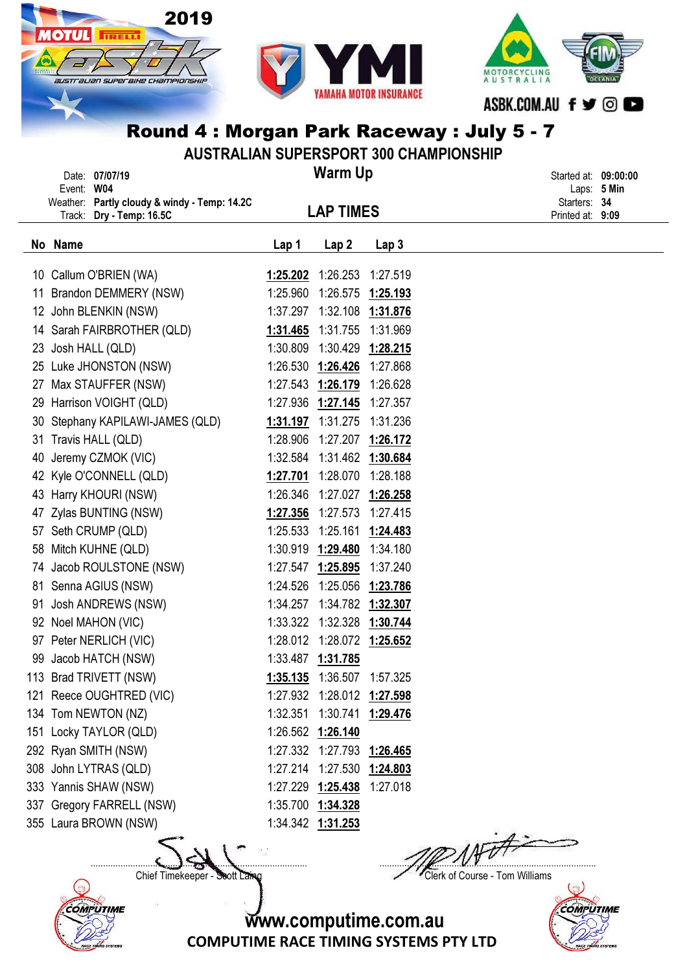

AUSTRALIAN SUPERSPORT 300 CHAMPIONSHIP Warm Up LAP TIMES Date: 07/07/19 Started at: 09:00:00 Event: W04 Laps: 5 Min Weather: Partly cloudy & windy - Temp: 14.2C and the particle of the starters: 34 Track: Dry - Temp: 16.5C **EXECUTE: LAP TIMES** Printed at: 9:09 No Name Lap 1 Lap 1 Lap 2 Lap 3 10 Callum O'BRIEN (WA) 1:25.202 1:26.253 1:27.519 11 Brandon DEMMERY (NSW) 1:25.960 1:26.575 1:25.193 12 John BLENKIN (NSW) 1:37.297 1:32.108 1:31.876 14 Sarah FAIRBROTHER (QLD) 1:31.465 1:31.755 1:31.969 23 Josh HALL (QLD) 1:30.809 1:30.429 1:28.215 25 Luke JHONSTON (NSW) 1:26.530 1:26.426 1:27.868 27 Max STAUFFER (NSW) 1:27.543 1:26.179 1:26.628 29 Harrison VOIGHT (QLD) 1:27.936 1:27.145 1:27.357 30 Stephany KAPILAWI-JAMES (QLD) 1:31.197 1:31.275 1:31.236 31 Travis HALL (QLD) 1:28.906 1:27.207 1:26.172 40 Jeremy CZMOK (VIC) 1:32.584 1:31.462 1:30.684 42 Kyle O'CONNELL (QLD) 1:27.701 1:28.070 1:28.188 43 Harry KHOURI (NSW) 1:26.346 1:27.027 1:26.258 47 Zylas BUNTING (NSW) 1:27.356 1:27.573 1:27.415 57 Seth CRUMP (QLD) 1:25.533 1:25.161 1:24.483 58 Mitch KUHNE (QLD) 1:30.919 1:29.480 1:34.180 74 Jacob ROULSTONE (NSW) 1:27.547 1:25.895 1:37.240 81 Senna AGIUS (NSW) 1:24.526 1:25.056 1:23.786 91 Josh ANDREWS (NSW) 1:34.257 1:34.782 1:32.307 92 Noel MAHON (VIC) 1:33.322 1:32.328 1:30.744 97 Peter NERLICH (VIC) 1:28.012 1:28.072 1:25.652 99 Jacob HATCH (NSW) 1:33.487 1:31.785 113 Brad TRIVETT (NSW) 1:35.135 1:36.507 1:57.325 121 Reece OUGHTRED (VIC) 1:27.932 1:28.012 1:27.598 134 Tom NEWTON (NZ) 1:32.351 1:30.741 1:29.476 151 Locky TAYLOR (QLD) 1:26.562 1:26.140 292 Ryan SMITH (NSW) 1:27.332 1:27.793 1:26.465 308 John LYTRAS (QLD) 1:27.214 1:27.530 1:24.803 333 Yannis SHAW (NSW) 1:27.229 1:25.438 1:27.018 337 Gregory FARRELL (NSW) 1:35.700 1:34.328 355 Laura BROWN (NSW) 1:34.342 1:31.253

**COMPUTIME** 

 $\Box$ 

Chief Timekeeper - Soott Laing Chief Timekeeper - Soott Laing



www.computime.com.au

COMPUTIME RACE TIMING SYSTEMS PTY LTD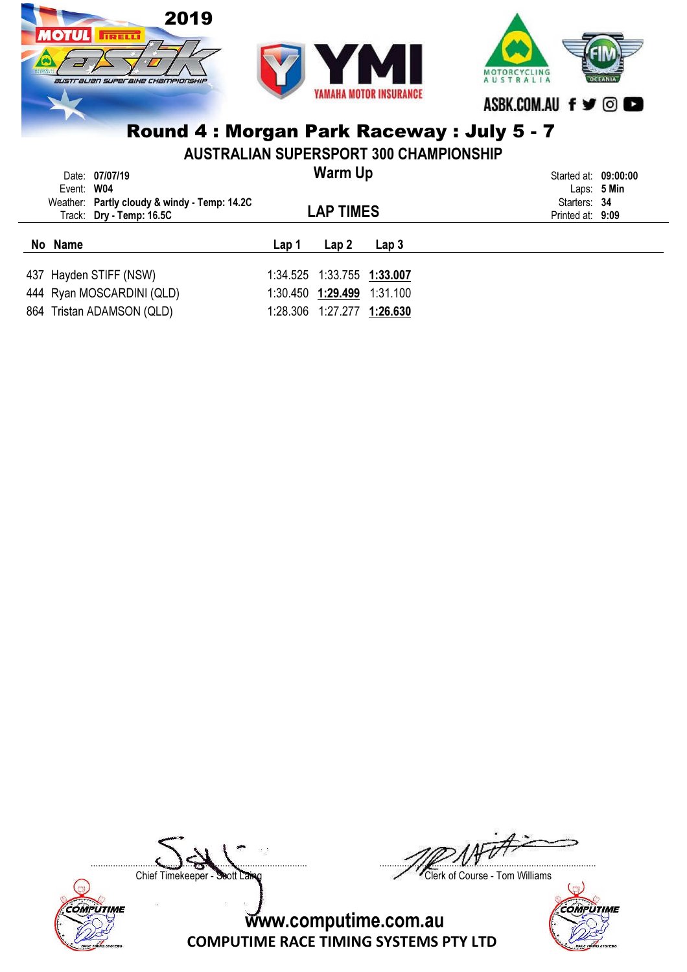

| <b>AUSTRALIAN SUPERSPORT 300 CHAMPIONSHIP</b> |                                              |                |                              |                  |                  |  |  |  |  |  |
|-----------------------------------------------|----------------------------------------------|----------------|------------------------------|------------------|------------------|--|--|--|--|--|
| Event: W04                                    | Date: 07/07/19                               | <b>Warm Up</b> | Started at: 09:00:00         | Laps: $5$ Min    |                  |  |  |  |  |  |
|                                               | Weather: Partly cloudy & windy - Temp: 14.2C |                |                              |                  | Starters: 34     |  |  |  |  |  |
|                                               | Track: Dry - Temp: 16.5C                     |                | <b>LAP TIMES</b>             |                  | Printed at: 9:09 |  |  |  |  |  |
|                                               |                                              |                |                              |                  |                  |  |  |  |  |  |
| No Name                                       |                                              | Lap 1          | Lap2                         | Lap <sub>3</sub> |                  |  |  |  |  |  |
|                                               | 437 Hayden STIFF (NSW)                       |                | 1:34.525  1:33.755  1:33.007 |                  |                  |  |  |  |  |  |
|                                               | 444 Ryan MOSCARDINI (QLD)                    |                | 1:30.450 1:29.499 1:31.100   |                  |                  |  |  |  |  |  |

Chief Timekeeper - Soott Laing Chief Timekeeper - Soott Laing

COMPUTIME



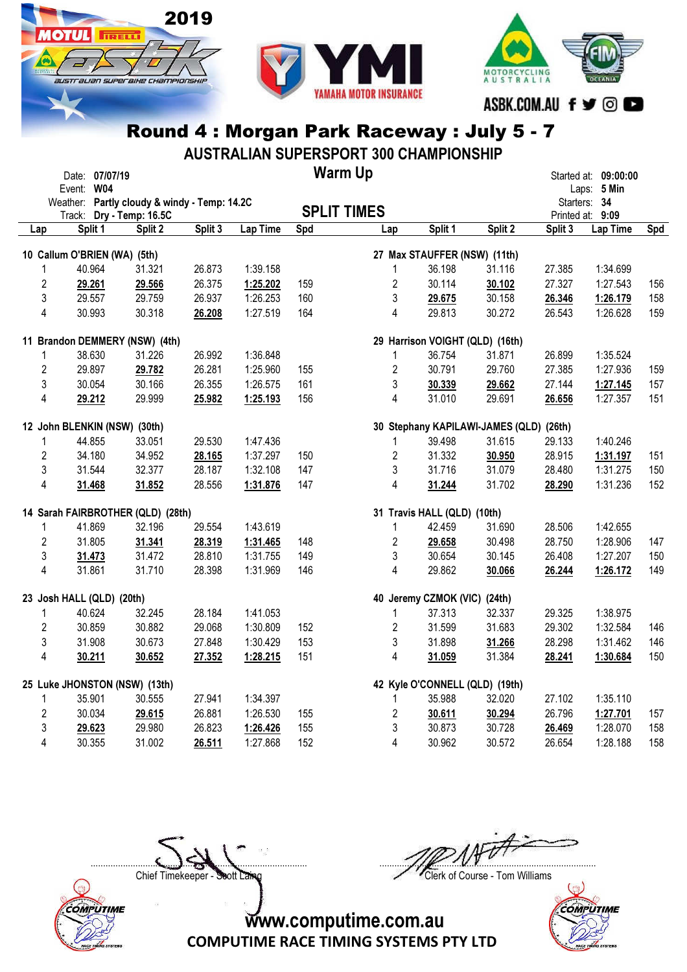





AUSTRALIAN SUPERSPORT 300 CHAMPIONSHIP

|                         | Event: W04                                                        | Date: 07/07/19                      |                                              |         |          |     | <b>Warm Up</b>     |                |                              |                                         |         | Started at: 09:00:00<br>Laps: 5 Min |     |
|-------------------------|-------------------------------------------------------------------|-------------------------------------|----------------------------------------------|---------|----------|-----|--------------------|----------------|------------------------------|-----------------------------------------|---------|-------------------------------------|-----|
|                         |                                                                   |                                     | Weather: Partly cloudy & windy - Temp: 14.2C |         |          |     | <b>SPLIT TIMES</b> |                |                              |                                         |         | Starters: 34                        |     |
| Lap                     |                                                                   | Track: Dry - Temp: 16.5C<br>Split 1 | Split 2                                      | Split 3 | Lap Time | Spd | Lap                |                | Split 1                      | Split 2                                 | Split 3 | Printed at: 9:09<br>Lap Time        | Spd |
|                         | 10 Callum O'BRIEN (WA) (5th)                                      |                                     |                                              |         |          |     |                    |                | 27 Max STAUFFER (NSW) (11th) |                                         |         |                                     |     |
| 1                       |                                                                   | 40.964                              | 31.321                                       | 26.873  | 1:39.158 |     |                    | $\mathbf{1}$   | 36.198                       | 31.116                                  | 27.385  | 1:34.699                            |     |
| $\overline{2}$          |                                                                   | 29.261                              | 29.566                                       | 26.375  | 1:25.202 | 159 |                    | $\overline{2}$ | 30.114                       | 30.102                                  | 27.327  | 1:27.543                            | 156 |
| 3                       |                                                                   | 29.557                              | 29.759                                       | 26.937  | 1:26.253 | 160 |                    | 3              | 29.675                       | 30.158                                  | 26.346  | 1:26.179                            | 158 |
| 4                       |                                                                   | 30.993                              | 30.318                                       | 26.208  | 1:27.519 | 164 |                    | 4              | 29.813                       | 30.272                                  | 26.543  | 1:26.628                            | 159 |
|                         | 11 Brandon DEMMERY (NSW) (4th)<br>29 Harrison VOIGHT (QLD) (16th) |                                     |                                              |         |          |     |                    |                |                              |                                         |         |                                     |     |
| 1                       |                                                                   | 38.630                              | 31.226                                       | 26.992  | 1:36.848 |     |                    | $\mathbf{1}$   | 36.754                       | 31.871                                  | 26.899  | 1:35.524                            |     |
| $\overline{2}$          |                                                                   | 29.897                              | 29.782                                       | 26.281  | 1:25.960 | 155 |                    | $\overline{2}$ | 30.791                       | 29.760                                  | 27.385  | 1:27.936                            | 159 |
| 3                       |                                                                   | 30.054                              | 30.166                                       | 26.355  | 1:26.575 | 161 |                    | 3              | 30.339                       | 29.662                                  | 27.144  | 1:27.145                            | 157 |
| 4                       |                                                                   | 29.212                              | 29.999                                       | 25.982  | 1:25.193 | 156 |                    | $\overline{4}$ | 31.010                       | 29.691                                  | 26.656  | 1:27.357                            | 151 |
|                         | 12 John BLENKIN (NSW) (30th)                                      |                                     |                                              |         |          |     |                    |                |                              | 30 Stephany KAPILAWI-JAMES (QLD) (26th) |         |                                     |     |
| $\mathbf{1}$            |                                                                   | 44.855                              | 33.051                                       | 29.530  | 1:47.436 |     |                    | 1              | 39.498                       | 31.615                                  | 29.133  | 1:40.246                            |     |
| $\overline{2}$          |                                                                   | 34.180                              | 34.952                                       | 28.165  | 1:37.297 | 150 |                    | $\overline{c}$ | 31.332                       | 30.950                                  | 28.915  | 1:31.197                            | 151 |
| 3                       |                                                                   | 31.544                              | 32.377                                       | 28.187  | 1:32.108 | 147 |                    | 3              | 31.716                       | 31.079                                  | 28.480  | 1:31.275                            | 150 |
| 4                       |                                                                   | 31.468                              | 31.852                                       | 28.556  | 1:31.876 | 147 |                    | $\overline{4}$ | 31.244                       | 31.702                                  | 28.290  | 1:31.236                            | 152 |
|                         |                                                                   |                                     | 14 Sarah FAIRBROTHER (QLD) (28th)            |         |          |     |                    |                | 31 Travis HALL (QLD) (10th)  |                                         |         |                                     |     |
| 1                       |                                                                   | 41.869                              | 32.196                                       | 29.554  | 1:43.619 |     |                    | $\mathbf{1}$   | 42.459                       | 31.690                                  | 28.506  | 1:42.655                            |     |
| $\overline{2}$          |                                                                   | 31.805                              | 31.341                                       | 28.319  | 1:31.465 | 148 |                    | $\overline{2}$ | 29.658                       | 30.498                                  | 28.750  | 1:28.906                            | 147 |
| 3                       |                                                                   | 31.473                              | 31.472                                       | 28.810  | 1:31.755 | 149 |                    | 3              | 30.654                       | 30.145                                  | 26.408  | 1:27.207                            | 150 |
| $\overline{4}$          |                                                                   | 31.861                              | 31.710                                       | 28.398  | 1:31.969 | 146 |                    | $\overline{4}$ | 29.862                       | 30.066                                  | 26.244  | 1:26.172                            | 149 |
|                         | 23 Josh HALL (QLD) (20th)                                         |                                     |                                              |         |          |     |                    |                | 40 Jeremy CZMOK (VIC) (24th) |                                         |         |                                     |     |
| 1                       |                                                                   | 40.624                              | 32.245                                       | 28.184  | 1:41.053 |     |                    | 1              | 37.313                       | 32.337                                  | 29.325  | 1:38.975                            |     |
| $\overline{2}$          |                                                                   | 30.859                              | 30.882                                       | 29.068  | 1:30.809 | 152 |                    | $\overline{2}$ | 31.599                       | 31.683                                  | 29.302  | 1:32.584                            | 146 |
| 3                       |                                                                   | 31.908                              | 30.673                                       | 27.848  | 1:30.429 | 153 |                    | 3              | 31.898                       | 31.266                                  | 28.298  | 1:31.462                            | 146 |
| $\overline{4}$          |                                                                   | 30.211                              | 30.652                                       | 27.352  | 1:28.215 | 151 |                    | $\overline{4}$ | 31.059                       | 31.384                                  | 28.241  | 1:30.684                            | 150 |
|                         | 25 Luke JHONSTON (NSW) (13th)                                     |                                     |                                              |         |          |     |                    |                |                              | 42 Kyle O'CONNELL (QLD) (19th)          |         |                                     |     |
| 1                       |                                                                   | 35.901                              | 30.555                                       | 27.941  | 1:34.397 |     |                    | 1              | 35.988                       | 32.020                                  | 27.102  | 1:35.110                            |     |
| 2                       |                                                                   | 30.034                              | 29.615                                       | 26.881  | 1:26.530 | 155 |                    | 2              | 30.611                       | 30.294                                  | 26.796  | 1:27.701                            | 157 |
| 3                       |                                                                   | 29.623                              | 29.980                                       | 26.823  | 1:26.426 | 155 |                    | 3              | 30.873                       | 30.728                                  | 26.469  | 1:28.070                            | 158 |
| $\overline{\mathbf{4}}$ |                                                                   | 30.355                              | 31.002                                       | 26.511  | 1:27.868 | 152 |                    | $\overline{4}$ | 30.962                       | 30.572                                  | 26.654  | 1:28.188                            | 158 |

Chief Timekeeper - Soott Laing Chief Timekeeper - Soott Laing

COMPUTIME

 $\Box$ 

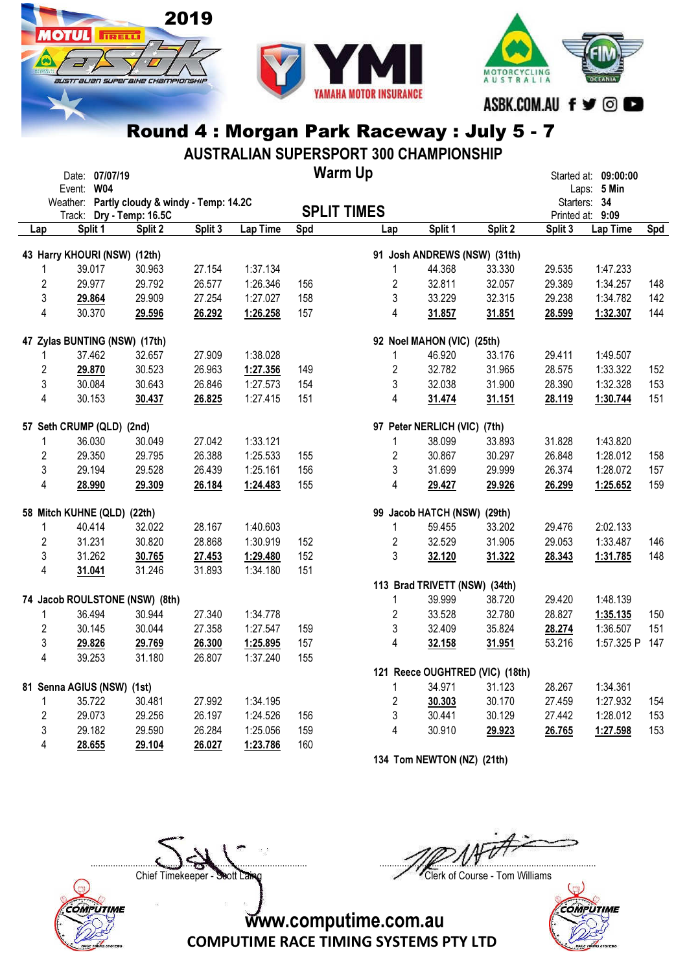





AUSTRALIAN SUPERSPORT 300 CHAMPIONSHIP

|                           | Date: 07/07/19                               |         |         |          |     | <b>Warm Up</b>     |                               |                                 |         | Started at: 09:00:00 |     |
|---------------------------|----------------------------------------------|---------|---------|----------|-----|--------------------|-------------------------------|---------------------------------|---------|----------------------|-----|
|                           | Event: W04                                   |         |         |          |     |                    |                               |                                 |         | Laps: 5 Min          |     |
|                           | Weather: Partly cloudy & windy - Temp: 14.2C |         |         |          |     |                    |                               |                                 |         | Starters: 34         |     |
|                           | Track: Dry - Temp: 16.5C                     |         |         |          |     | <b>SPLIT TIMES</b> |                               |                                 |         | Printed at: 9:09     |     |
| Lap                       | Split 1                                      | Split 2 | Split 3 | Lap Time | Spd | Lap                | Split 1                       | Split 2                         | Split 3 | Lap Time             | Spd |
|                           | 43 Harry KHOURI (NSW) (12th)                 |         |         |          |     |                    | 91 Josh ANDREWS (NSW) (31th)  |                                 |         |                      |     |
| 1                         | 39.017                                       | 30.963  | 27.154  | 1:37.134 |     | 1                  | 44.368                        | 33.330                          | 29.535  | 1:47.233             |     |
| $\overline{c}$            | 29.977                                       | 29.792  | 26.577  | 1:26.346 | 156 | $\overline{2}$     | 32.811                        | 32.057                          | 29.389  | 1:34.257             | 148 |
| 3                         | 29.864                                       | 29.909  | 27.254  | 1:27.027 | 158 | $\mathfrak{Z}$     | 33.229                        | 32.315                          | 29.238  | 1:34.782             | 142 |
| $\overline{\mathbf{4}}$   | 30.370                                       | 29.596  | 26.292  | 1:26.258 | 157 | 4                  | 31.857                        | 31.851                          | 28.599  | 1:32.307             | 144 |
|                           | 47 Zylas BUNTING (NSW) (17th)                |         |         |          |     |                    | 92 Noel MAHON (VIC) (25th)    |                                 |         |                      |     |
| 1                         | 37.462                                       | 32.657  | 27.909  | 1:38.028 |     | 1                  | 46.920                        | 33.176                          | 29.411  | 1:49.507             |     |
| $\overline{2}$            | 29.870                                       | 30.523  | 26.963  | 1:27.356 | 149 | $\overline{2}$     | 32.782                        | 31.965                          | 28.575  | 1:33.322             | 152 |
| 3                         | 30.084                                       | 30.643  | 26.846  | 1:27.573 | 154 | 3                  | 32.038                        | 31.900                          | 28.390  | 1:32.328             | 153 |
| 4                         | 30.153                                       | 30.437  | 26.825  | 1:27.415 | 151 | 4                  | 31.474                        | 31.151                          | 28.119  | 1:30.744             | 151 |
|                           | 57 Seth CRUMP (QLD) (2nd)                    |         |         |          |     |                    | 97 Peter NERLICH (VIC) (7th)  |                                 |         |                      |     |
| 1                         | 36.030                                       | 30.049  | 27.042  | 1:33.121 |     | 1                  | 38.099                        | 33.893                          | 31.828  | 1:43.820             |     |
| $\overline{2}$            | 29.350                                       | 29.795  | 26.388  | 1:25.533 | 155 | $\overline{2}$     | 30.867                        | 30.297                          | 26.848  | 1:28.012             | 158 |
| 3                         | 29.194                                       | 29.528  | 26.439  | 1:25.161 | 156 | 3                  | 31.699                        | 29.999                          | 26.374  | 1:28.072             | 157 |
| $\overline{\mathbf{4}}$   | 28.990                                       | 29.309  | 26.184  | 1:24.483 | 155 | 4                  | 29.427                        | 29.926                          | 26.299  | 1:25.652             | 159 |
|                           | 58 Mitch KUHNE (QLD)                         | (22th)  |         |          |     |                    | 99 Jacob HATCH (NSW)          | (29th)                          |         |                      |     |
| 1                         | 40.414                                       | 32.022  | 28.167  | 1:40.603 |     | 1                  | 59.455                        | 33.202                          | 29.476  | 2:02.133             |     |
| $\overline{2}$            | 31.231                                       | 30.820  | 28.868  | 1:30.919 | 152 | $\overline{2}$     | 32.529                        | 31.905                          | 29.053  | 1:33.487             | 146 |
| 3                         | 31.262                                       | 30.765  | 27.453  | 1:29.480 | 152 | 3                  | 32.120                        | 31.322                          | 28.343  | 1:31.785             | 148 |
| $\overline{\mathbf{4}}$   | 31.041                                       | 31.246  | 31.893  | 1:34.180 | 151 |                    |                               |                                 |         |                      |     |
|                           |                                              |         |         |          |     |                    | 113 Brad TRIVETT (NSW) (34th) |                                 |         |                      |     |
|                           | 74 Jacob ROULSTONE (NSW) (8th)               |         |         |          |     | 1                  | 39.999                        | 38.720                          | 29.420  | 1:48.139             |     |
| 1                         | 36.494                                       | 30.944  | 27.340  | 1:34.778 |     | $\overline{2}$     | 33.528                        | 32.780                          | 28.827  | 1:35.135             | 150 |
| $\overline{2}$            | 30.145                                       | 30.044  | 27.358  | 1:27.547 | 159 | 3                  | 32.409                        | 35.824                          | 28.274  | 1:36.507             | 151 |
| $\ensuremath{\mathsf{3}}$ | 29.826                                       | 29.769  | 26.300  | 1:25.895 | 157 | 4                  | 32.158                        | 31.951                          | 53.216  | 1:57.325 P           | 147 |
| $\overline{\mathbf{4}}$   | 39.253                                       | 31.180  | 26.807  | 1:37.240 | 155 |                    |                               |                                 |         |                      |     |
|                           |                                              |         |         |          |     |                    |                               | 121 Reece OUGHTRED (VIC) (18th) |         |                      |     |
|                           | 81 Senna AGIUS (NSW) (1st)                   |         |         |          |     | 1                  | 34.971                        | 31.123                          | 28.267  | 1:34.361             |     |
| 1                         | 35.722                                       | 30.481  | 27.992  | 1:34.195 |     | $\overline{c}$     | 30.303                        | 30.170                          | 27.459  | 1:27.932             | 154 |
| $\overline{2}$            | 29.073                                       | 29.256  | 26.197  | 1:24.526 | 156 | 3                  | 30.441                        | 30.129                          | 27.442  | 1:28.012             | 153 |
| 3                         | 29.182                                       | 29.590  | 26.284  | 1:25.056 | 159 | 4                  | 30.910                        | 29.923                          | 26.765  | 1:27.598             | 153 |
| $\overline{\mathbf{4}}$   | 28.655                                       | 29.104  | 26.027  | 1:23.786 | 160 |                    |                               |                                 |         |                      |     |

134 Tom NEWTON (NZ) (21th)

 $\Box$ 

COMPUTIME

Chief Timekeeper - Soott Laing Chief Timekeeper - Soott Laing



www.computime.com.au

COMPUTIME RACE TIMING SYSTEMS PTY LTD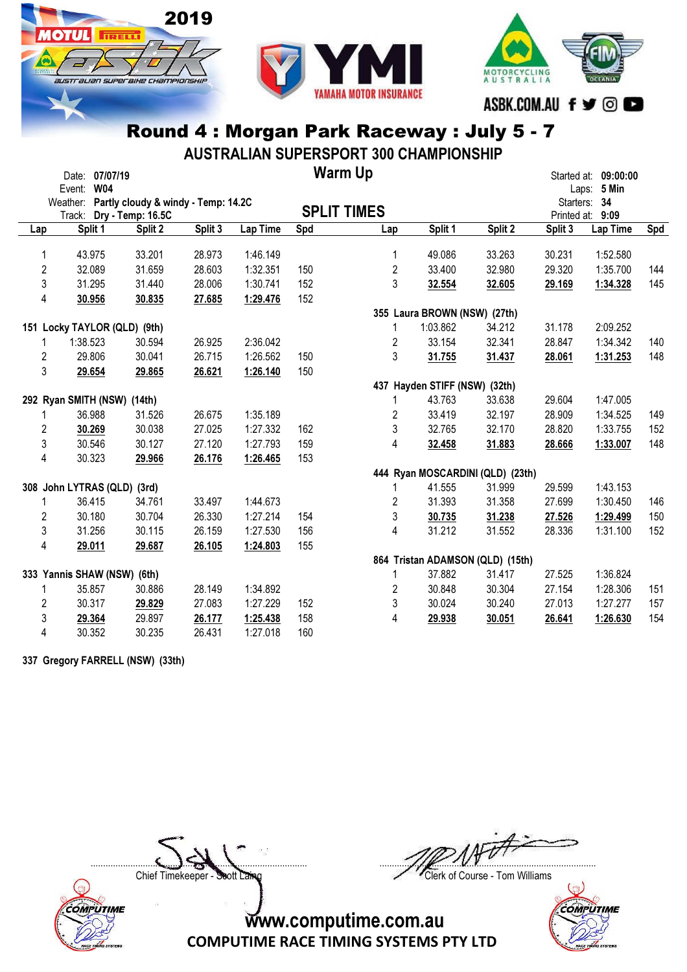





AUSTRALIAN SUPERSPORT 300 CHAMPIONSHIP

|                | Event: W04 | Date: 07/07/19 |                                              |         |          |     | <b>Warm Up</b>     |                                  |         |         | Started at: 09:00:00<br>Laps: 5 Min |     |
|----------------|------------|----------------|----------------------------------------------|---------|----------|-----|--------------------|----------------------------------|---------|---------|-------------------------------------|-----|
|                |            |                | Weather: Partly cloudy & windy - Temp: 14.2C |         |          |     | <b>SPLIT TIMES</b> |                                  |         |         | Starters: 34                        |     |
| Lap            |            | Split 1        | Track: Dry - Temp: 16.5C<br>Split 2          | Split 3 | Lap Time | Spd | Lap                | Split 1                          | Split 2 | Split 3 | Printed at: 9:09<br>Lap Time        | Spd |
|                |            |                |                                              |         |          |     |                    |                                  |         |         |                                     |     |
| 1              |            | 43.975         | 33.201                                       | 28.973  | 1:46.149 |     | 1                  | 49.086                           | 33.263  | 30.231  | 1:52.580                            |     |
| $\overline{c}$ |            | 32.089         | 31.659                                       | 28.603  | 1:32.351 | 150 | $\overline{2}$     | 33.400                           | 32.980  | 29.320  | 1:35.700                            | 144 |
| 3              |            | 31.295         | 31.440                                       | 28.006  | 1:30.741 | 152 | 3                  | 32.554                           | 32.605  | 29.169  | 1:34.328                            | 145 |
| 4              |            | 30.956         | 30.835                                       | 27.685  | 1:29.476 | 152 |                    |                                  |         |         |                                     |     |
|                |            |                |                                              |         |          |     |                    | 355 Laura BROWN (NSW) (27th)     |         |         |                                     |     |
|                |            |                | 151 Locky TAYLOR (QLD) (9th)                 |         |          |     | 1                  | 1:03.862                         | 34.212  | 31.178  | 2:09.252                            |     |
|                | 1:38.523   |                | 30.594                                       | 26.925  | 2:36.042 |     | 2                  | 33.154                           | 32.341  | 28.847  | 1:34.342                            | 140 |
| 2              |            | 29.806         | 30.041                                       | 26.715  | 1:26.562 | 150 | 3                  | 31.755                           | 31.437  | 28.061  | 1:31.253                            | 148 |
| 3              |            | 29.654         | 29.865                                       | 26.621  | 1:26.140 | 150 |                    |                                  |         |         |                                     |     |
|                |            |                |                                              |         |          |     |                    | 437 Hayden STIFF (NSW) (32th)    |         |         |                                     |     |
|                |            |                | 292 Ryan SMITH (NSW) (14th)                  |         |          |     |                    | 43.763                           | 33.638  | 29.604  | 1:47.005                            |     |
|                |            | 36.988         | 31.526                                       | 26.675  | 1:35.189 |     | 2                  | 33.419                           | 32.197  | 28.909  | 1:34.525                            | 149 |
| 2              |            | 30.269         | 30.038                                       | 27.025  | 1:27.332 | 162 | 3                  | 32.765                           | 32.170  | 28.820  | 1:33.755                            | 152 |
| 3              |            | 30.546         | 30.127                                       | 27.120  | 1:27.793 | 159 | 4                  | 32.458                           | 31.883  | 28.666  | 1:33.007                            | 148 |
| 4              |            | 30.323         | 29.966                                       | 26.176  | 1:26.465 | 153 |                    |                                  |         |         |                                     |     |
|                |            |                |                                              |         |          |     |                    | 444 Ryan MOSCARDINI (QLD) (23th) |         |         |                                     |     |
|                |            |                | 308 John LYTRAS (QLD) (3rd)                  |         |          |     |                    | 41.555                           | 31.999  | 29.599  | 1:43.153                            |     |
|                |            | 36.415         | 34.761                                       | 33.497  | 1:44.673 |     | 2                  | 31.393                           | 31.358  | 27.699  | 1:30.450                            | 146 |
| 2              |            | 30.180         | 30.704                                       | 26.330  | 1:27.214 | 154 | 3                  | 30.735                           | 31.238  | 27.526  | 1:29.499                            | 150 |
| 3              |            | 31.256         | 30.115                                       | 26.159  | 1:27.530 | 156 | 4                  | 31.212                           | 31.552  | 28.336  | 1:31.100                            | 152 |
| 4              |            | 29.011         | 29.687                                       | 26.105  | 1:24.803 | 155 |                    |                                  |         |         |                                     |     |
|                |            |                |                                              |         |          |     |                    | 864 Tristan ADAMSON (QLD) (15th) |         |         |                                     |     |
|                |            |                | 333 Yannis SHAW (NSW) (6th)                  |         |          |     | 1                  | 37.882                           | 31.417  | 27.525  | 1:36.824                            |     |
|                |            | 35.857         | 30.886                                       | 28.149  | 1:34.892 |     | $\overline{c}$     | 30.848                           | 30.304  | 27.154  | 1:28.306                            | 151 |
| 2              |            | 30.317         | 29.829                                       | 27.083  | 1:27.229 | 152 | 3                  | 30.024                           | 30.240  | 27.013  | 1:27.277                            | 157 |
| 3              |            | 29.364         | 29.897                                       | 26.177  | 1:25.438 | 158 | 4                  | 29.938                           | 30.051  | 26.641  | 1:26.630                            | 154 |
| 4              |            | 30.352         | 30.235                                       | 26.431  | 1:27.018 | 160 |                    |                                  |         |         |                                     |     |

337 Gregory FARRELL (NSW) (33th)

COMPUTIME

 $\Box$ 

Chief Timekeeper - Soott Laing Chief Timekeeper - Soott Laing

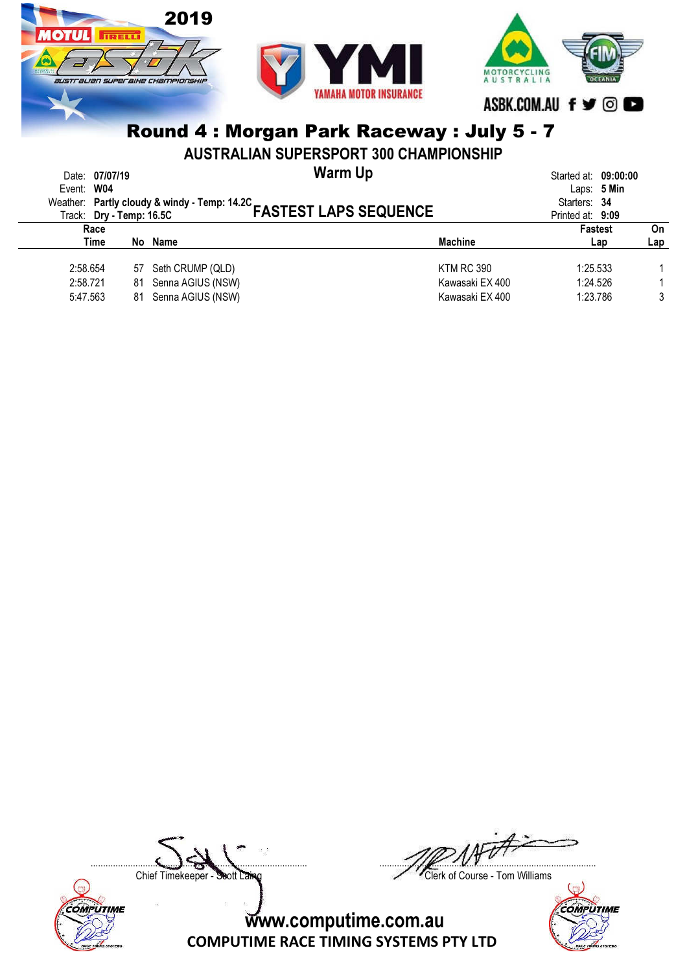

AUSTRALIAN SUPERSPORT 300 CHAMPIONSHIP

| Event: W04 | Date: 07/07/19 |    |                     | Warm Up<br>Weather: Partly cloudy & windy - Temp: 14.2C<br>FASTEST LAPS SEQUENCE |                   |                                    |     |     |
|------------|----------------|----|---------------------|----------------------------------------------------------------------------------|-------------------|------------------------------------|-----|-----|
|            | Race           |    |                     |                                                                                  |                   | Printed at: 9:09<br><b>Fastest</b> |     | On  |
|            | Time           |    | No Name             |                                                                                  | <b>Machine</b>    |                                    | Lap | Lap |
| 2:58.654   |                |    | 57 Seth CRUMP (QLD) |                                                                                  | <b>KTM RC 390</b> | 1:25.533                           |     |     |
| 2:58.721   |                | 81 | Senna AGIUS (NSW)   |                                                                                  | Kawasaki EX 400   | 1:24.526                           |     |     |
| 5:47.563   |                | 81 | Senna AGIUS (NSW)   |                                                                                  | Kawasaki EX 400   | 1:23.786                           |     | 3   |
|            |                |    |                     |                                                                                  |                   |                                    |     |     |

Chief Timekeeper - Soott Laing Chief Timekeeper - Soott Laing

COMPUTIME

 $\Box$ 

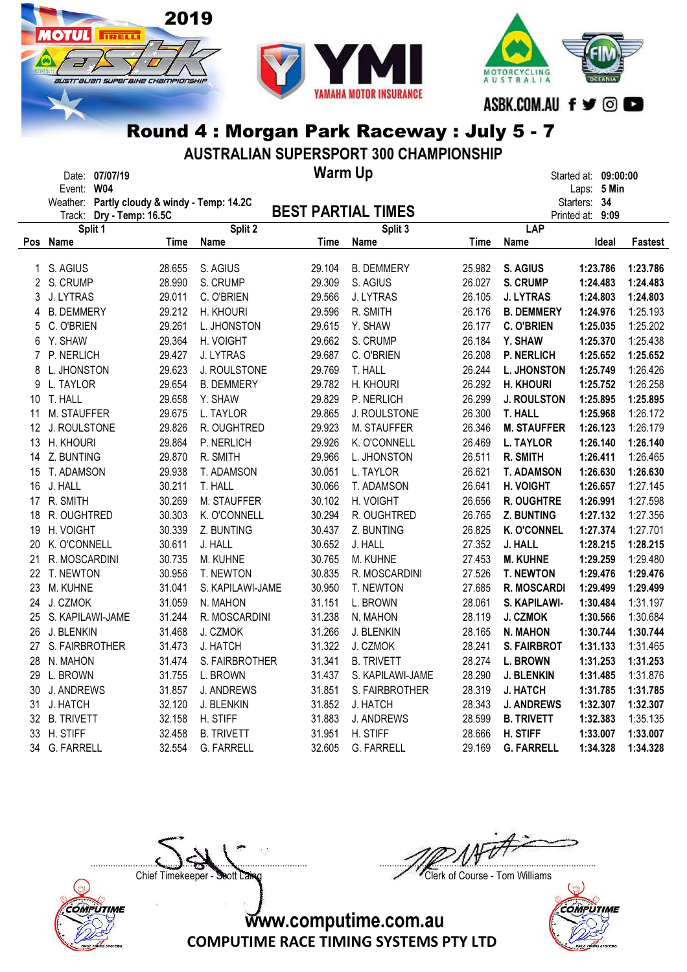



AUSTRALIAN SUPERSPORT 300 CHAMPIONSHIP

Date: 07/07/19 Started at: 09:00:00

**OTHL** 

**TIRELLI** 

australian superaike championskip

2019

Warm Up

|    | Event: W04                                   |        |                   |        |                           |             |                    | Laps: 5 Min      |                |
|----|----------------------------------------------|--------|-------------------|--------|---------------------------|-------------|--------------------|------------------|----------------|
|    | Weather: Partly cloudy & windy - Temp: 14.2C |        |                   |        |                           |             |                    | Starters: 34     |                |
|    | Dry - Temp: 16.5C<br>Track:                  |        |                   |        | <b>BEST PARTIAL TIMES</b> |             |                    | Printed at: 9:09 |                |
|    | Split 1                                      |        | Split 2           |        | Split 3                   |             | LAP                |                  |                |
|    | Pos Name                                     | Time   | <b>Name</b>       | Time   | Name                      | <b>Time</b> | Name               | Ideal            | <b>Fastest</b> |
| 1  | S. AGIUS                                     | 28.655 | S. AGIUS          | 29.104 | <b>B. DEMMERY</b>         | 25.982      | S. AGIUS           | 1:23.786         | 1:23.786       |
| 2  | S. CRUMP                                     | 28.990 | S. CRUMP          | 29.309 | S. AGIUS                  | 26.027      | <b>S. CRUMP</b>    | 1:24.483         | 1:24.483       |
| 3  | J. LYTRAS                                    | 29.011 | C. O'BRIEN        | 29.566 | J. LYTRAS                 | 26.105      | <b>J. LYTRAS</b>   | 1:24.803         | 1:24.803       |
| 4  | <b>B. DEMMERY</b>                            | 29.212 | H. KHOURI         | 29.596 | R. SMITH                  | 26.176      | <b>B. DEMMERY</b>  | 1:24.976         | 1:25.193       |
| 5  | C. O'BRIEN                                   | 29.261 | L. JHONSTON       | 29.615 | Y. SHAW                   | 26.177      | <b>C. O'BRIEN</b>  | 1:25.035         | 1:25.202       |
| 6  | Y. SHAW                                      | 29.364 | H. VOIGHT         | 29.662 | S. CRUMP                  | 26.184      | Y. SHAW            | 1:25.370         | 1:25.438       |
| 7  | P. NERLICH                                   | 29.427 | J. LYTRAS         | 29.687 | C. O'BRIEN                | 26.208      | <b>P. NERLICH</b>  | 1:25.652         | 1:25.652       |
| 8  | L. JHONSTON                                  | 29.623 | J. ROULSTONE      | 29.769 | T. HALL                   | 26.244      | <b>L. JHONSTON</b> | 1:25.749         | 1:26.426       |
| 9  | L. TAYLOR                                    | 29.654 | <b>B. DEMMERY</b> | 29.782 | H. KHOURI                 | 26.292      | <b>H. KHOURI</b>   | 1:25.752         | 1:26.258       |
| 10 | T. HALL                                      | 29.658 | Y. SHAW           | 29.829 | P. NERLICH                | 26.299      | <b>J. ROULSTON</b> | 1:25.895         | 1:25.895       |
| 11 | M. STAUFFER                                  | 29.675 | L. TAYLOR         | 29.865 | J. ROULSTONE              | 26.300      | <b>T. HALL</b>     | 1:25.968         | 1:26.172       |
| 12 | J. ROULSTONE                                 | 29.826 | R. OUGHTRED       | 29.923 | M. STAUFFER               | 26.346      | <b>M. STAUFFER</b> | 1:26.123         | 1:26.179       |
| 13 | H. KHOURI                                    | 29.864 | P. NERLICH        | 29.926 | K. O'CONNELL              | 26.469      | <b>L. TAYLOR</b>   | 1:26.140         | 1:26.140       |
| 14 | Z. BUNTING                                   | 29.870 | R. SMITH          | 29.966 | L. JHONSTON               | 26.511      | R. SMITH           | 1:26.411         | 1:26.465       |
| 15 | T. ADAMSON                                   | 29.938 | T. ADAMSON        | 30.051 | L. TAYLOR                 | 26.621      | <b>T. ADAMSON</b>  | 1:26.630         | 1:26.630       |
| 16 | J. HALL                                      | 30.211 | T. HALL           | 30.066 | T. ADAMSON                | 26.641      | H. VOIGHT          | 1:26.657         | 1:27.145       |
| 17 | R. SMITH                                     | 30.269 | M. STAUFFER       | 30.102 | H. VOIGHT                 | 26.656      | <b>R. OUGHTRE</b>  | 1:26.991         | 1:27.598       |
| 18 | R. OUGHTRED                                  | 30.303 | K. O'CONNELL      | 30.294 | R. OUGHTRED               | 26.765      | Z. BUNTING         | 1:27.132         | 1:27.356       |
| 19 | H. VOIGHT                                    | 30.339 | Z. BUNTING        | 30.437 | Z. BUNTING                | 26.825      | <b>K. O'CONNEL</b> | 1:27.374         | 1:27.701       |
| 20 | K. O'CONNELL                                 | 30.611 | J. HALL           | 30.652 | J. HALL                   | 27.352      | J. HALL            | 1:28.215         | 1:28.215       |
| 21 | R. MOSCARDINI                                | 30.735 | M. KUHNE          | 30.765 | M. KUHNE                  | 27.453      | <b>M. KUHNE</b>    | 1:29.259         | 1:29.480       |
| 22 | T. NEWTON                                    | 30.956 | T. NEWTON         | 30.835 | R. MOSCARDINI             | 27.526      | <b>T. NEWTON</b>   | 1:29.476         | 1:29.476       |
| 23 | M. KUHNE                                     | 31.041 | S. KAPILAWI-JAME  | 30.950 | T. NEWTON                 | 27.685      | R. MOSCARDI        | 1:29.499         | 1:29.499       |
| 24 | J. CZMOK                                     | 31.059 | N. MAHON          | 31.151 | L. BROWN                  | 28.061      | S. KAPILAWI-       | 1:30.484         | 1:31.197       |
| 25 | S. KAPILAWI-JAME                             | 31.244 | R. MOSCARDINI     | 31.238 | N. MAHON                  | 28.119      | J. CZMOK           | 1:30.566         | 1:30.684       |
| 26 | J. BLENKIN                                   | 31.468 | J. CZMOK          | 31.266 | J. BLENKIN                | 28.165      | <b>N. MAHON</b>    | 1:30.744         | 1:30.744       |
| 27 | S. FAIRBROTHER                               | 31.473 | J. HATCH          | 31.322 | J. CZMOK                  | 28.241      | <b>S. FAIRBROT</b> | 1:31.133         | 1:31.465       |
| 28 | N. MAHON                                     | 31.474 | S. FAIRBROTHER    | 31.341 | <b>B. TRIVETT</b>         | 28.274      | <b>L. BROWN</b>    | 1:31.253         | 1:31.253       |
| 29 | L. BROWN                                     | 31.755 | L. BROWN          | 31.437 | S. KAPILAWI-JAME          | 28.290      | <b>J. BLENKIN</b>  | 1:31.485         | 1:31.876       |
| 30 | <b>J. ANDREWS</b>                            | 31.857 | <b>J. ANDREWS</b> | 31.851 | S. FAIRBROTHER            | 28.319      | <b>J. HATCH</b>    | 1:31.785         | 1:31.785       |
| 31 | J. HATCH                                     | 32.120 | J. BLENKIN        | 31.852 | J. HATCH                  | 28.343      | <b>J. ANDREWS</b>  | 1:32.307         | 1:32.307       |
| 32 | <b>B. TRIVETT</b>                            | 32.158 | H. STIFF          | 31.883 | <b>J. ANDREWS</b>         | 28.599      | <b>B. TRIVETT</b>  | 1:32.383         | 1:35.135       |
| 33 | H. STIFF                                     | 32.458 | <b>B. TRIVETT</b> | 31.951 | H. STIFF                  | 28.666      | H. STIFF           | 1:33.007         | 1:33.007       |
| 34 | <b>G. FARRELL</b>                            | 32.554 | <b>G. FARRELL</b> | 32.605 | <b>G. FARRELL</b>         | 29.169      | <b>G. FARRELL</b>  | 1:34.328         | 1:34.328       |





 $\Box$